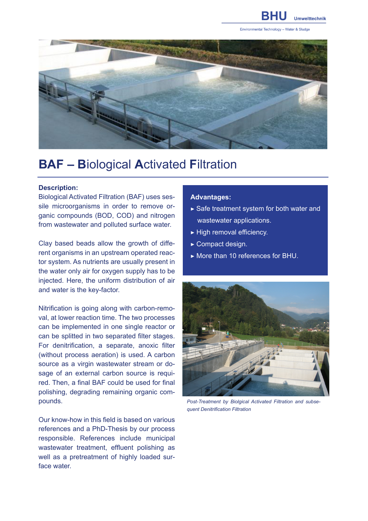

Environmental Technology - Water & Sludge



# **BAF – B**iological **A**ctivated **F**iltration

#### **Description:**

Biological Activated Filtration (BAF) uses sessile microorganisms in order to remove organic compounds (BOD, COD) and nitrogen from wastewater and polluted surface water.

Clay based beads allow the growth of different organisms in an upstream operated reactor system. As nutrients are usually present in the water only air for oxygen supply has to be injected. Here, the uniform distribution of air and water is the key-factor.

Nitrification is going along with carbon-removal, at lower reaction time. The two processes can be implemented in one single reactor or can be splitted in two separated filter stages. For denitrification, a separate, anoxic filter (without process aeration) is used. A carbon source as a virgin wastewater stream or dosage of an external carbon source is required. Then, a final BAF could be used for final polishing, degrading remaining organic compounds.

Our know-how in this field is based on various references and a PhD-Thesis by our process responsible. References include municipal wastewater treatment, effluent polishing as well as a pretreatment of highly loaded surface water.

## **Advantages:**

- $\triangleright$  Safe treatment system for both water and wastewater applications.
- ▶ High removal efficiency.
- $\blacktriangleright$  Compact design.
- ▶ More than 10 references for BHU.



*Post-Treatment by Biolgical Activated Filtration and subsequent Denitrification Filtration*